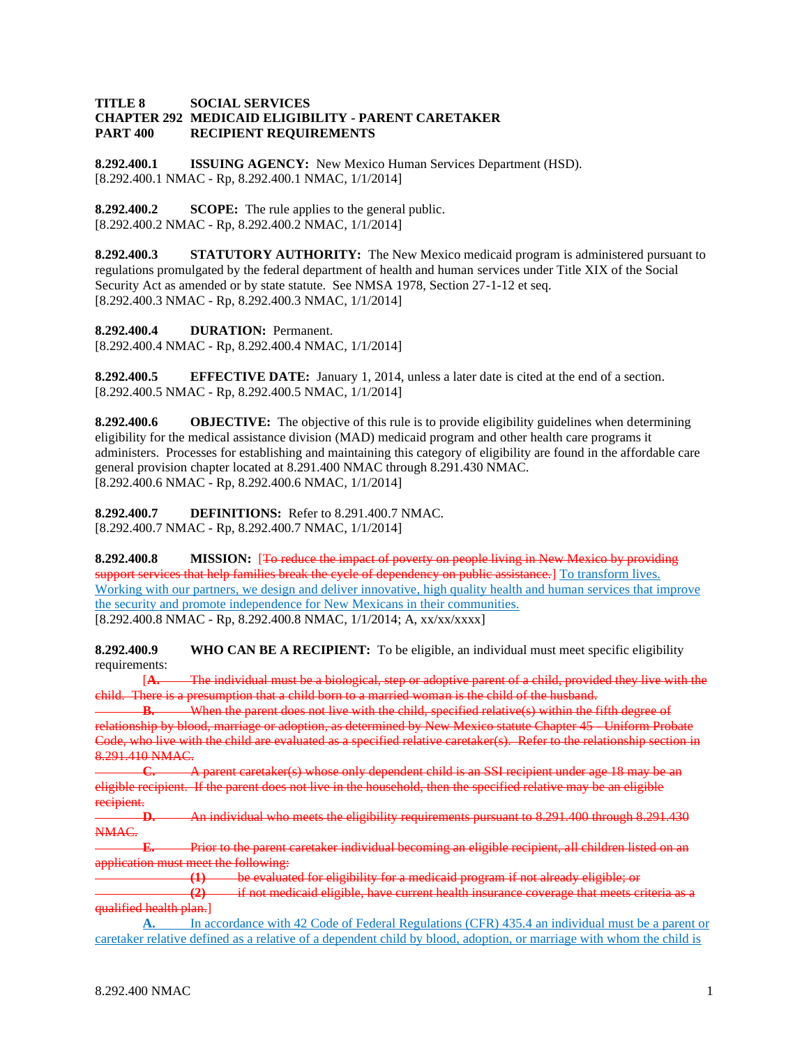## **TITLE 8 SOCIAL SERVICES CHAPTER 292 MEDICAID ELIGIBILITY - PARENT CARETAKER PART 400 RECIPIENT REQUIREMENTS**

**8.292.400.1 ISSUING AGENCY:** New Mexico Human Services Department (HSD). [8.292.400.1 NMAC - Rp, 8.292.400.1 NMAC, 1/1/2014]

**8.292.400.2 SCOPE:** The rule applies to the general public. [8.292.400.2 NMAC - Rp, 8.292.400.2 NMAC, 1/1/2014]

**8.292.400.3 STATUTORY AUTHORITY:** The New Mexico medicaid program is administered pursuant to regulations promulgated by the federal department of health and human services under Title XIX of the Social Security Act as amended or by state statute. See NMSA 1978, Section 27-1-12 et seq. [8.292.400.3 NMAC - Rp, 8.292.400.3 NMAC, 1/1/2014]

**8.292.400.4 DURATION:** Permanent.

[8.292.400.4 NMAC - Rp, 8.292.400.4 NMAC, 1/1/2014]

**8.292.400.5 EFFECTIVE DATE:** January 1, 2014, unless a later date is cited at the end of a section. [8.292.400.5 NMAC - Rp, 8.292.400.5 NMAC, 1/1/2014]

**8.292.400.6 OBJECTIVE:** The objective of this rule is to provide eligibility guidelines when determining eligibility for the medical assistance division (MAD) medicaid program and other health care programs it administers. Processes for establishing and maintaining this category of eligibility are found in the affordable care general provision chapter located at 8.291.400 NMAC through 8.291.430 NMAC. [8.292.400.6 NMAC - Rp, 8.292.400.6 NMAC, 1/1/2014]

**8.292.400.7 DEFINITIONS:** Refer to 8.291.400.7 NMAC. [8.292.400.7 NMAC - Rp, 8.292.400.7 NMAC, 1/1/2014]

**8.292.400.8 MISSION:** [To reduce the impact of poverty on people living in New Mexico by providing support services that help families break the cycle of dependency on public assistance.] To transform lives. Working with our partners, we design and deliver innovative, high quality health and human services that improve the security and promote independence for New Mexicans in their communities. [8.292.400.8 NMAC - Rp, 8.292.400.8 NMAC, 1/1/2014; A, xx/xx/xxxx]

**8.292.400.9 WHO CAN BE A RECIPIENT:** To be eligible, an individual must meet specific eligibility requirements:

[**A.** The individual must be a biological, step or adoptive parent of a child, provided they live with the child. There is a presumption that a child born to a married woman is the child of the husband.

**B.** When the parent does not live with the child, specified relative(s) within the fifth degree of relationship by blood, marriage or adoption, as determined by New Mexico statute Chapter 45 - Uniform Probate Code, who live with the child are evaluated as a specified relative caretaker(s). Refer to the relationship section in 8.291.410 NMAC.

**C.** A parent caretaker(s) whose only dependent child is an SSI recipient under age 18 may be an eligible recipient. If the parent does not live in the household, then the specified relative may be an eligible recipient.

**D.** An individual who meets the eligibility requirements pursuant to 8.291.400 through 8.291.430 NMAC.

**E.** Prior to the parent caretaker individual becoming an eligible recipient, all children listed on an application must meet the following:

**(1)** be evaluated for eligibility for a medicaid program if not already eligible; or

**(2)** if not medicaid eligible, have current health insurance coverage that meets criteria as a qualified health plan.]

**A.** In accordance with 42 Code of Federal Regulations (CFR) 435.4 an individual must be a parent or caretaker relative defined as a relative of a dependent child by blood, adoption, or marriage with whom the child is